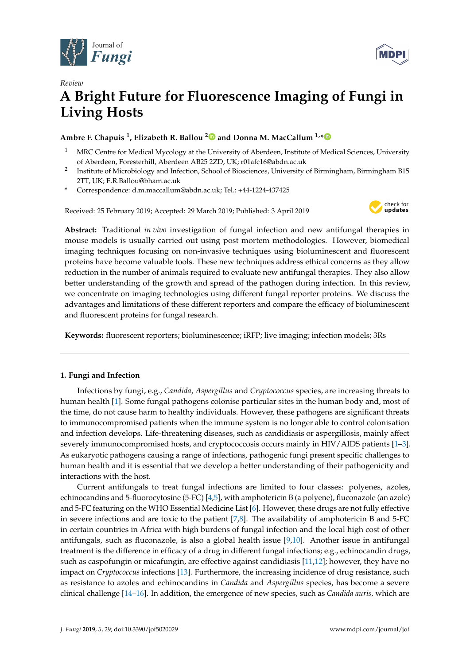



# *Review* **A Bright Future for Fluorescence Imaging of Fungi in Living Hosts**

# **Ambre F. Chapuis <sup>1</sup> , Elizabeth R. Ballou [2](https://orcid.org/0000-0001-8051-2302) and Donna M. MacCallum 1,[\\*](https://orcid.org/0000-0003-4833-0378)**

- <sup>1</sup> MRC Centre for Medical Mycology at the University of Aberdeen, Institute of Medical Sciences, University of Aberdeen, Foresterhill, Aberdeen AB25 2ZD, UK; r01afc16@abdn.ac.uk
- 2 Institute of Microbiology and Infection, School of Biosciences, University of Birmingham, Birmingham B15 2TT, UK; E.R.Ballou@bham.ac.uk
- **\*** Correspondence: d.m.maccallum@abdn.ac.uk; Tel.: +44-1224-437425

Received: 25 February 2019; Accepted: 29 March 2019; Published: 3 April 2019



**Abstract:** Traditional *in vivo* investigation of fungal infection and new antifungal therapies in mouse models is usually carried out using post mortem methodologies. However, biomedical imaging techniques focusing on non-invasive techniques using bioluminescent and fluorescent proteins have become valuable tools. These new techniques address ethical concerns as they allow reduction in the number of animals required to evaluate new antifungal therapies. They also allow better understanding of the growth and spread of the pathogen during infection. In this review, we concentrate on imaging technologies using different fungal reporter proteins. We discuss the advantages and limitations of these different reporters and compare the efficacy of bioluminescent and fluorescent proteins for fungal research.

**Keywords:** fluorescent reporters; bioluminescence; iRFP; live imaging; infection models; 3Rs

## **1. Fungi and Infection**

Infections by fungi, e.g., *Candida*, *Aspergillus* and *Cryptococcus* species, are increasing threats to human health [\[1\]](#page-5-0). Some fungal pathogens colonise particular sites in the human body and, most of the time, do not cause harm to healthy individuals. However, these pathogens are significant threats to immunocompromised patients when the immune system is no longer able to control colonisation and infection develops. Life-threatening diseases, such as candidiasis or aspergillosis, mainly affect severely immunocompromised hosts, and cryptococcosis occurs mainly in HIV/AIDS patients [\[1–](#page-5-0)[3\]](#page-5-1). As eukaryotic pathogens causing a range of infections, pathogenic fungi present specific challenges to human health and it is essential that we develop a better understanding of their pathogenicity and interactions with the host.

Current antifungals to treat fungal infections are limited to four classes: polyenes, azoles, echinocandins and 5-fluorocytosine (5-FC) [\[4,](#page-5-2)[5\]](#page-5-3), with amphotericin B (a polyene), fluconazole (an azole) and 5-FC featuring on the WHO Essential Medicine List [\[6\]](#page-5-4). However, these drugs are not fully effective in severe infections and are toxic to the patient [\[7](#page-5-5)[,8\]](#page-5-6). The availability of amphotericin B and 5-FC in certain countries in Africa with high burdens of fungal infection and the local high cost of other antifungals, such as fluconazole, is also a global health issue  $[9,10]$  $[9,10]$ . Another issue in antifungal treatment is the difference in efficacy of a drug in different fungal infections; e.g., echinocandin drugs, such as caspofungin or micafungin, are effective against candidiasis [\[11,](#page-5-9)[12\]](#page-5-10); however, they have no impact on *Cryptococcus* infections [\[13\]](#page-5-11). Furthermore, the increasing incidence of drug resistance, such as resistance to azoles and echinocandins in *Candida* and *Aspergillus* species, has become a severe clinical challenge [\[14](#page-5-12)[–16\]](#page-5-13). In addition, the emergence of new species, such as *Candida auris,* which are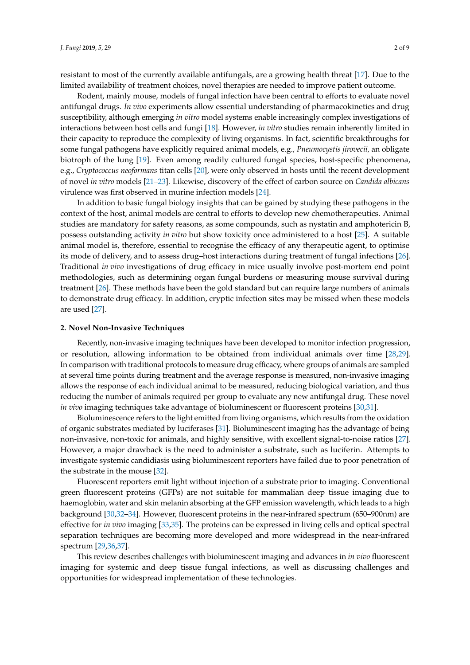resistant to most of the currently available antifungals, are a growing health threat [\[17\]](#page-5-14). Due to the limited availability of treatment choices, novel therapies are needed to improve patient outcome.

Rodent, mainly mouse, models of fungal infection have been central to efforts to evaluate novel antifungal drugs. *In vivo* experiments allow essential understanding of pharmacokinetics and drug susceptibility, although emerging *in vitro* model systems enable increasingly complex investigations of interactions between host cells and fungi [\[18\]](#page-5-15). However, *in vitro* studies remain inherently limited in their capacity to reproduce the complexity of living organisms. In fact, scientific breakthroughs for some fungal pathogens have explicitly required animal models, e.g., *Pneumocystis jirovecii,* an obligate biotroph of the lung [\[19\]](#page-6-0). Even among readily cultured fungal species, host-specific phenomena, e.g., *Cryptococcus neoformans* titan cells [\[20\]](#page-6-1), were only observed in hosts until the recent development of novel *in vitro* models [\[21–](#page-6-2)[23\]](#page-6-3). Likewise, discovery of the effect of carbon source on *Candida albicans* virulence was first observed in murine infection models [\[24\]](#page-6-4).

In addition to basic fungal biology insights that can be gained by studying these pathogens in the context of the host, animal models are central to efforts to develop new chemotherapeutics. Animal studies are mandatory for safety reasons, as some compounds, such as nystatin and amphotericin B, possess outstanding activity *in vitro* but show toxicity once administered to a host [\[25\]](#page-6-5). A suitable animal model is, therefore, essential to recognise the efficacy of any therapeutic agent, to optimise its mode of delivery, and to assess drug–host interactions during treatment of fungal infections [\[26\]](#page-6-6). Traditional *in vivo* investigations of drug efficacy in mice usually involve post-mortem end point methodologies, such as determining organ fungal burdens or measuring mouse survival during treatment [\[26\]](#page-6-6). These methods have been the gold standard but can require large numbers of animals to demonstrate drug efficacy. In addition, cryptic infection sites may be missed when these models are used [\[27\]](#page-6-7).

#### **2. Novel Non-Invasive Techniques**

Recently, non-invasive imaging techniques have been developed to monitor infection progression, or resolution, allowing information to be obtained from individual animals over time [\[28,](#page-6-8)[29\]](#page-6-9). In comparison with traditional protocols to measure drug efficacy, where groups of animals are sampled at several time points during treatment and the average response is measured, non-invasive imaging allows the response of each individual animal to be measured, reducing biological variation, and thus reducing the number of animals required per group to evaluate any new antifungal drug. These novel *in vivo* imaging techniques take advantage of bioluminescent or fluorescent proteins [\[30](#page-6-10)[,31\]](#page-6-11).

Bioluminescence refers to the light emitted from living organisms, which results from the oxidation of organic substrates mediated by luciferases [\[31\]](#page-6-11). Bioluminescent imaging has the advantage of being non-invasive, non-toxic for animals, and highly sensitive, with excellent signal-to-noise ratios [\[27\]](#page-6-7). However, a major drawback is the need to administer a substrate, such as luciferin. Attempts to investigate systemic candidiasis using bioluminescent reporters have failed due to poor penetration of the substrate in the mouse [\[32\]](#page-6-12).

Fluorescent reporters emit light without injection of a substrate prior to imaging. Conventional green fluorescent proteins (GFPs) are not suitable for mammalian deep tissue imaging due to haemoglobin, water and skin melanin absorbing at the GFP emission wavelength, which leads to a high background [\[30,](#page-6-10)[32–](#page-6-12)[34\]](#page-6-13). However, fluorescent proteins in the near-infrared spectrum (650–900nm) are effective for *in vivo* imaging [\[33](#page-6-14)[,35\]](#page-6-15). The proteins can be expressed in living cells and optical spectral separation techniques are becoming more developed and more widespread in the near-infrared spectrum [\[29,](#page-6-9)[36,](#page-6-16)[37\]](#page-6-17).

This review describes challenges with bioluminescent imaging and advances in *in vivo* fluorescent imaging for systemic and deep tissue fungal infections, as well as discussing challenges and opportunities for widespread implementation of these technologies.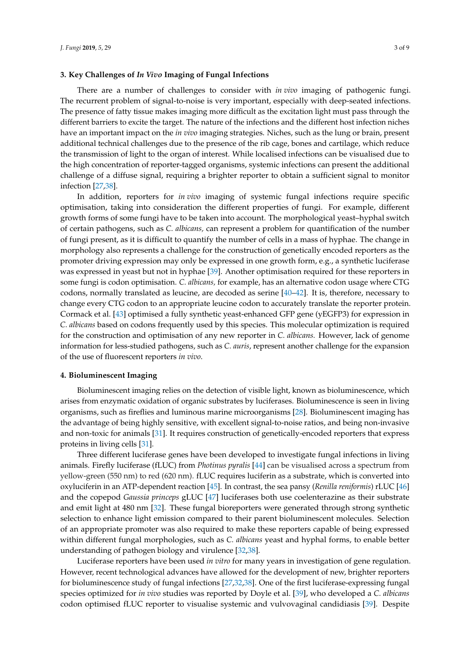#### **3. Key Challenges of** *In Vivo* **Imaging of Fungal Infections**

There are a number of challenges to consider with *in vivo* imaging of pathogenic fungi. The recurrent problem of signal-to-noise is very important, especially with deep-seated infections. The presence of fatty tissue makes imaging more difficult as the excitation light must pass through the different barriers to excite the target. The nature of the infections and the different host infection niches have an important impact on the *in vivo* imaging strategies. Niches, such as the lung or brain, present additional technical challenges due to the presence of the rib cage, bones and cartilage, which reduce the transmission of light to the organ of interest. While localised infections can be visualised due to the high concentration of reporter-tagged organisms, systemic infections can present the additional challenge of a diffuse signal, requiring a brighter reporter to obtain a sufficient signal to monitor infection [\[27](#page-6-7)[,38\]](#page-6-18).

In addition, reporters for *in vivo* imaging of systemic fungal infections require specific optimisation, taking into consideration the different properties of fungi. For example, different growth forms of some fungi have to be taken into account. The morphological yeast–hyphal switch of certain pathogens, such as *C. albicans,* can represent a problem for quantification of the number of fungi present, as it is difficult to quantify the number of cells in a mass of hyphae. The change in morphology also represents a challenge for the construction of genetically encoded reporters as the promoter driving expression may only be expressed in one growth form, e.g., a synthetic luciferase was expressed in yeast but not in hyphae [\[39\]](#page-7-0). Another optimisation required for these reporters in some fungi is codon optimisation. *C. albicans,* for example, has an alternative codon usage where CTG codons, normally translated as leucine, are decoded as serine [\[40–](#page-7-1)[42\]](#page-7-2). It is, therefore, necessary to change every CTG codon to an appropriate leucine codon to accurately translate the reporter protein. Cormack et al. [\[43\]](#page-7-3) optimised a fully synthetic yeast-enhanced GFP gene (yEGFP3) for expression in *C. albicans* based on codons frequently used by this species. This molecular optimization is required for the construction and optimisation of any new reporter in *C. albicans.* However, lack of genome information for less-studied pathogens, such as *C. auris*, represent another challenge for the expansion of the use of fluorescent reporters *in vivo*.

#### **4. Bioluminescent Imaging**

Bioluminescent imaging relies on the detection of visible light, known as bioluminescence, which arises from enzymatic oxidation of organic substrates by luciferases. Bioluminescence is seen in living organisms, such as fireflies and luminous marine microorganisms [\[28\]](#page-6-8). Bioluminescent imaging has the advantage of being highly sensitive, with excellent signal-to-noise ratios, and being non-invasive and non-toxic for animals [\[31\]](#page-6-11). It requires construction of genetically-encoded reporters that express proteins in living cells [\[31\]](#page-6-11).

Three different luciferase genes have been developed to investigate fungal infections in living animals. Firefly luciferase (fLUC) from *Photinus pyralis* [\[44\]](#page-7-4) can be visualised across a spectrum from yellow-green (550 nm) to red (620 nm). fLUC requires luciferin as a substrate, which is converted into oxyluciferin in an ATP-dependent reaction [\[45\]](#page-7-5). In contrast, the sea pansy (*Renilla reniformis*) rLUC [\[46\]](#page-7-6) and the copepod *Gaussia princeps* gLUC [\[47\]](#page-7-7) luciferases both use coelenterazine as their substrate and emit light at 480 nm [\[32\]](#page-6-12). These fungal bioreporters were generated through strong synthetic selection to enhance light emission compared to their parent bioluminescent molecules. Selection of an appropriate promoter was also required to make these reporters capable of being expressed within different fungal morphologies, such as *C. albicans* yeast and hyphal forms, to enable better understanding of pathogen biology and virulence [\[32](#page-6-12)[,38\]](#page-6-18).

Luciferase reporters have been used *in vitro* for many years in investigation of gene regulation. However, recent technological advances have allowed for the development of new, brighter reporters for bioluminescence study of fungal infections [\[27](#page-6-7)[,32](#page-6-12)[,38\]](#page-6-18). One of the first luciferase-expressing fungal species optimized for *in vivo* studies was reported by Doyle et al. [\[39\]](#page-7-0), who developed a *C. albicans* codon optimised fLUC reporter to visualise systemic and vulvovaginal candidiasis [\[39\]](#page-7-0). Despite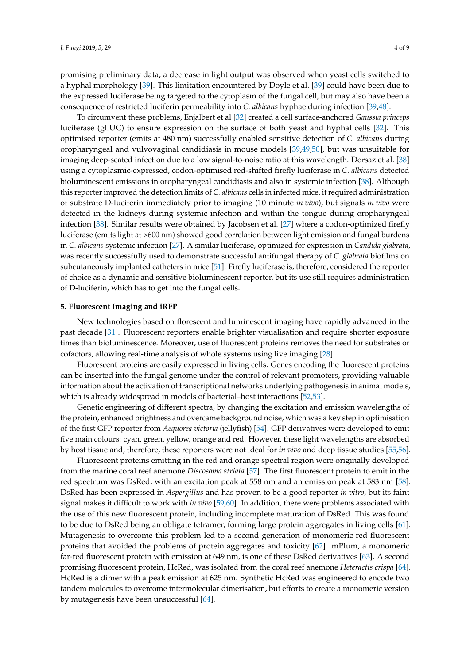promising preliminary data, a decrease in light output was observed when yeast cells switched to a hyphal morphology [\[39\]](#page-7-0). This limitation encountered by Doyle et al. [\[39\]](#page-7-0) could have been due to the expressed luciferase being targeted to the cytoplasm of the fungal cell, but may also have been a consequence of restricted luciferin permeability into *C. albicans* hyphae during infection [\[39](#page-7-0)[,48\]](#page-7-8).

To circumvent these problems, Enjalbert et al [\[32\]](#page-6-12) created a cell surface-anchored *Gaussia princeps* luciferase (gLUC) to ensure expression on the surface of both yeast and hyphal cells [\[32\]](#page-6-12). This optimised reporter (emits at 480 nm) successfully enabled sensitive detection of *C. albicans* during oropharyngeal and vulvovaginal candidiasis in mouse models [\[39,](#page-7-0)[49,](#page-7-9)[50\]](#page-7-10), but was unsuitable for imaging deep-seated infection due to a low signal-to-noise ratio at this wavelength. Dorsaz et al. [\[38\]](#page-6-18) using a cytoplasmic-expressed, codon-optimised red-shifted firefly luciferase in *C. albicans* detected bioluminescent emissions in oropharyngeal candidiasis and also in systemic infection [\[38\]](#page-6-18). Although this reporter improved the detection limits of *C. albicans* cells in infected mice, it required administration of substrate D-luciferin immediately prior to imaging (10 minute *in vivo*), but signals *in vivo* were detected in the kidneys during systemic infection and within the tongue during oropharyngeal infection [\[38\]](#page-6-18). Similar results were obtained by Jacobsen et al. [\[27\]](#page-6-7) where a codon-optimized firefly luciferase (emits light at >600 nm) showed good correlation between light emission and fungal burdens in *C. albicans* systemic infection [\[27\]](#page-6-7). A similar luciferase, optimized for expression in *Candida glabrata*, was recently successfully used to demonstrate successful antifungal therapy of *C. glabrata* biofilms on subcutaneously implanted catheters in mice [\[51\]](#page-7-11). Firefly luciferase is, therefore, considered the reporter of choice as a dynamic and sensitive bioluminescent reporter, but its use still requires administration of D-luciferin, which has to get into the fungal cells.

#### **5. Fluorescent Imaging and iRFP**

New technologies based on florescent and luminescent imaging have rapidly advanced in the past decade [\[31\]](#page-6-11). Fluorescent reporters enable brighter visualisation and require shorter exposure times than bioluminescence. Moreover, use of fluorescent proteins removes the need for substrates or cofactors, allowing real-time analysis of whole systems using live imaging [\[28\]](#page-6-8).

Fluorescent proteins are easily expressed in living cells. Genes encoding the fluorescent proteins can be inserted into the fungal genome under the control of relevant promoters, providing valuable information about the activation of transcriptional networks underlying pathogenesis in animal models, which is already widespread in models of bacterial–host interactions [\[52,](#page-7-12)[53\]](#page-7-13).

Genetic engineering of different spectra, by changing the excitation and emission wavelengths of the protein, enhanced brightness and overcame background noise, which was a key step in optimisation of the first GFP reporter from *Aequorea victoria* (jellyfish) [\[54\]](#page-7-14). GFP derivatives were developed to emit five main colours: cyan, green, yellow, orange and red. However, these light wavelengths are absorbed by host tissue and, therefore, these reporters were not ideal for *in vivo* and deep tissue studies [\[55,](#page-7-15)[56\]](#page-7-16).

Fluorescent proteins emitting in the red and orange spectral region were originally developed from the marine coral reef anemone *Discosoma striata* [\[57\]](#page-7-17). The first fluorescent protein to emit in the red spectrum was DsRed, with an excitation peak at 558 nm and an emission peak at 583 nm [\[58\]](#page-7-18). DsRed has been expressed in *Aspergillus* and has proven to be a good reporter *in vitro*, but its faint signal makes it difficult to work with *in vivo* [\[59,](#page-7-19)[60\]](#page-8-0). In addition, there were problems associated with the use of this new fluorescent protein, including incomplete maturation of DsRed. This was found to be due to DsRed being an obligate tetramer, forming large protein aggregates in living cells [\[61\]](#page-8-1). Mutagenesis to overcome this problem led to a second generation of monomeric red fluorescent proteins that avoided the problems of protein aggregates and toxicity [\[62\]](#page-8-2). mPlum, a monomeric far-red fluorescent protein with emission at 649 nm, is one of these DsRed derivatives [\[63\]](#page-8-3). A second promising fluorescent protein, HcRed, was isolated from the coral reef anemone *Heteractis crispa* [\[64\]](#page-8-4). HcRed is a dimer with a peak emission at 625 nm. Synthetic HcRed was engineered to encode two tandem molecules to overcome intermolecular dimerisation, but efforts to create a monomeric version by mutagenesis have been unsuccessful [\[64\]](#page-8-4).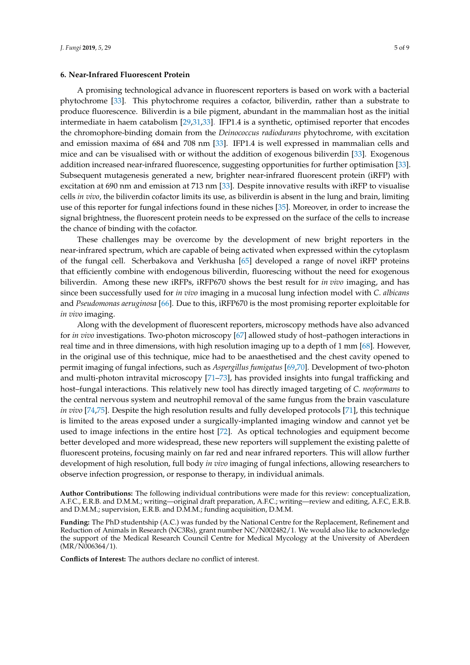#### **6. Near-Infrared Fluorescent Protein**

A promising technological advance in fluorescent reporters is based on work with a bacterial phytochrome [\[33\]](#page-6-14). This phytochrome requires a cofactor, biliverdin, rather than a substrate to produce fluorescence. Biliverdin is a bile pigment, abundant in the mammalian host as the initial intermediate in haem catabolism [\[29,](#page-6-9)[31,](#page-6-11)[33\]](#page-6-14). IFP1.4 is a synthetic, optimised reporter that encodes the chromophore-binding domain from the *Deinococcus radiodurans* phytochrome, with excitation and emission maxima of 684 and 708 nm [\[33\]](#page-6-14). IFP1.4 is well expressed in mammalian cells and mice and can be visualised with or without the addition of exogenous biliverdin [\[33\]](#page-6-14). Exogenous addition increased near-infrared fluorescence, suggesting opportunities for further optimisation [\[33\]](#page-6-14). Subsequent mutagenesis generated a new, brighter near-infrared fluorescent protein (iRFP) with excitation at 690 nm and emission at 713 nm [\[33\]](#page-6-14). Despite innovative results with iRFP to visualise cells *in vivo*, the biliverdin cofactor limits its use, as biliverdin is absent in the lung and brain, limiting use of this reporter for fungal infections found in these niches [\[35\]](#page-6-15). Moreover, in order to increase the signal brightness, the fluorescent protein needs to be expressed on the surface of the cells to increase the chance of binding with the cofactor.

These challenges may be overcome by the development of new bright reporters in the near-infrared spectrum, which are capable of being activated when expressed within the cytoplasm of the fungal cell. Scherbakova and Verkhusha [\[65\]](#page-8-5) developed a range of novel iRFP proteins that efficiently combine with endogenous biliverdin, fluorescing without the need for exogenous biliverdin. Among these new iRFPs, iRFP670 shows the best result for *in vivo* imaging, and has since been successfully used for *in vivo* imaging in a mucosal lung infection model with *C. albicans* and *Pseudomonas aeruginosa* [\[66\]](#page-8-6). Due to this, iRFP670 is the most promising reporter exploitable for *in vivo* imaging.

Along with the development of fluorescent reporters, microscopy methods have also advanced for *in vivo* investigations. Two-photon microscopy [\[67\]](#page-8-7) allowed study of host–pathogen interactions in real time and in three dimensions, with high resolution imaging up to a depth of 1 mm [\[68\]](#page-8-8). However, in the original use of this technique, mice had to be anaesthetised and the chest cavity opened to permit imaging of fungal infections, such as *Aspergillus fumigatus* [\[69,](#page-8-9)[70\]](#page-8-10). Development of two-photon and multi-photon intravital microscopy [\[71](#page-8-11)[–73\]](#page-8-12), has provided insights into fungal trafficking and host–fungal interactions. This relatively new tool has directly imaged targeting of *C. neoformans* to the central nervous system and neutrophil removal of the same fungus from the brain vasculature *in vivo* [\[74](#page-8-13)[,75\]](#page-8-14). Despite the high resolution results and fully developed protocols [\[71\]](#page-8-11), this technique is limited to the areas exposed under a surgically-implanted imaging window and cannot yet be used to image infections in the entire host [\[72\]](#page-8-15). As optical technologies and equipment become better developed and more widespread, these new reporters will supplement the existing palette of fluorescent proteins, focusing mainly on far red and near infrared reporters. This will allow further development of high resolution, full body *in vivo* imaging of fungal infections, allowing researchers to observe infection progression, or response to therapy, in individual animals.

**Author Contributions:** The following individual contributions were made for this review: conceptualization, A.F.C., E.R.B. and D.M.M.; writing—original draft preparation, A.F.C.; writing—review and editing, A.F.C, E.R.B. and D.M.M.; supervision, E.R.B. and D.M.M.; funding acquisition, D.M.M.

**Funding:** The PhD studentship (A.C.) was funded by the National Centre for the Replacement, Refinement and Reduction of Animals in Research (NC3Rs), grant number NC/N002482/1. We would also like to acknowledge the support of the Medical Research Council Centre for Medical Mycology at the University of Aberdeen (MR/N006364/1).

**Conflicts of Interest:** The authors declare no conflict of interest.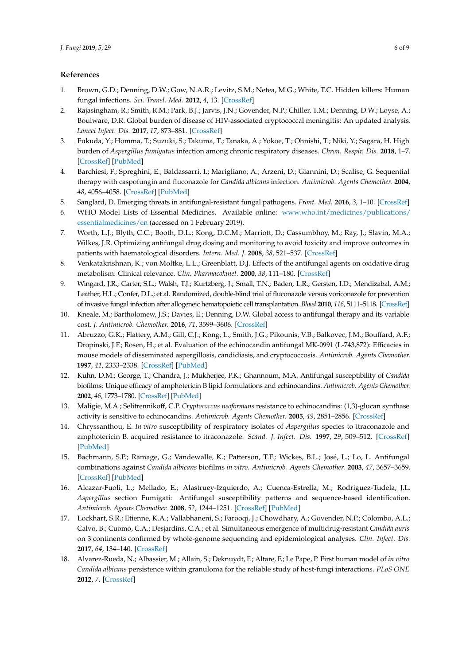## **References**

- <span id="page-5-0"></span>1. Brown, G.D.; Denning, D.W.; Gow, N.A.R.; Levitz, S.M.; Netea, M.G.; White, T.C. Hidden killers: Human fungal infections. *Sci. Transl. Med.* **2012**, *4*, 13. [\[CrossRef\]](http://dx.doi.org/10.1126/scitranslmed.3004404)
- 2. Rajasingham, R.; Smith, R.M.; Park, B.J.; Jarvis, J.N.; Govender, N.P.; Chiller, T.M.; Denning, D.W.; Loyse, A.; Boulware, D.R. Global burden of disease of HIV-associated cryptococcal meningitis: An updated analysis. *Lancet Infect. Dis.* **2017**, *17*, 873–881. [\[CrossRef\]](http://dx.doi.org/10.1016/S1473-3099(17)30243-8)
- <span id="page-5-1"></span>3. Fukuda, Y.; Homma, T.; Suzuki, S.; Takuma, T.; Tanaka, A.; Yokoe, T.; Ohnishi, T.; Niki, Y.; Sagara, H. High burden of *Aspergillus fumigatus* infection among chronic respiratory diseases. *Chron. Respir. Dis.* **2018**, 1–7. [\[CrossRef\]](http://dx.doi.org/10.1177/1479972318761654) [\[PubMed\]](http://www.ncbi.nlm.nih.gov/pubmed/29519142)
- <span id="page-5-2"></span>4. Barchiesi, F.; Spreghini, E.; Baldassarri, I.; Marigliano, A.; Arzeni, D.; Giannini, D.; Scalise, G. Sequential therapy with caspofungin and fluconazole for *Candida albicans* infection. *Antimicrob. Agents Chemother.* **2004**, *48*, 4056–4058. [\[CrossRef\]](http://dx.doi.org/10.1128/AAC.48.10.4056-4058.2004) [\[PubMed\]](http://www.ncbi.nlm.nih.gov/pubmed/15388480)
- <span id="page-5-3"></span>5. Sanglard, D. Emerging threats in antifungal-resistant fungal pathogens. *Front. Med.* **2016**, *3*, 1–10. [\[CrossRef\]](http://dx.doi.org/10.3389/fmed.2016.00011)
- <span id="page-5-4"></span>6. WHO Model Lists of Essential Medicines. Available online: [www.who.int/medicines/publications/](www.who.int/medicines/publications/essentialmedicines/en) [essentialmedicines/en](www.who.int/medicines/publications/essentialmedicines/en) (accessed on 1 February 2019).
- <span id="page-5-5"></span>7. Worth, L.J.; Blyth, C.C.; Booth, D.L.; Kong, D.C.M.; Marriott, D.; Cassumbhoy, M.; Ray, J.; Slavin, M.A.; Wilkes, J.R. Optimizing antifungal drug dosing and monitoring to avoid toxicity and improve outcomes in patients with haematological disorders. *Intern. Med. J.* **2008**, *38*, 521–537. [\[CrossRef\]](http://dx.doi.org/10.1111/j.1445-5994.2008.01726.x)
- <span id="page-5-6"></span>8. Venkatakrishnan, K.; von Moltke, L.L.; Greenblatt, D.J. Effects of the antifungal agents on oxidative drug metabolism: Clinical relevance. *Clin. Pharmacokinet.* **2000**, *38*, 111–180. [\[CrossRef\]](http://dx.doi.org/10.2165/00003088-200038020-00002)
- <span id="page-5-7"></span>9. Wingard, J.R.; Carter, S.L.; Walsh, T.J.; Kurtzberg, J.; Small, T.N.; Baden, L.R.; Gersten, I.D.; Mendizabal, A.M.; Leather, H.L.; Confer, D.L.; et al. Randomized, double-blind trial of fluconazole versus voriconazole for prevention of invasive fungal infection after allogeneic hematopoietic cell transplantation. *Blood* **2010**, *116*, 5111–5118. [\[CrossRef\]](http://dx.doi.org/10.1182/blood-2010-02-268151)
- <span id="page-5-8"></span>10. Kneale, M.; Bartholomew, J.S.; Davies, E.; Denning, D.W. Global access to antifungal therapy and its variable cost. *J. Antimicrob. Chemother.* **2016**, *71*, 3599–3606. [\[CrossRef\]](http://dx.doi.org/10.1093/jac/dkw325)
- <span id="page-5-9"></span>11. Abruzzo, G.K.; Flattery, A.M.; Gill, C.J.; Kong, L.; Smith, J.G.; Pikounis, V.B.; Balkovec, J.M.; Bouffard, A.F.; Dropinski, J.F.; Rosen, H.; et al. Evaluation of the echinocandin antifungal MK-0991 (L-743,872): Efficacies in mouse models of disseminated aspergillosis, candidiasis, and cryptococcosis. *Antimicrob. Agents Chemother.* **1997**, *41*, 2333–2338. [\[CrossRef\]](http://dx.doi.org/10.1128/AAC.41.11.2333) [\[PubMed\]](http://www.ncbi.nlm.nih.gov/pubmed/9371329)
- <span id="page-5-10"></span>12. Kuhn, D.M.; George, T.; Chandra, J.; Mukherjee, P.K.; Ghannoum, M.A. Antifungal susceptibility of *Candida* biofilms: Unique efficacy of amphotericin B lipid formulations and echinocandins. *Antimicrob. Agents Chemother.* **2002**, *46*, 1773–1780. [\[CrossRef\]](http://dx.doi.org/10.1128/AAC.46.6.1773-1780.2002) [\[PubMed\]](http://www.ncbi.nlm.nih.gov/pubmed/12019089)
- <span id="page-5-11"></span>13. Maligie, M.A.; Selitrennikoff, C.P. *Cryptococcus neoformans* resistance to echinocandins: (1,3)-glucan synthase activity is sensitive to echinocandins. *Antimicrob. Agents Chemother.* **2005**, *49*, 2851–2856. [\[CrossRef\]](http://dx.doi.org/10.1128/AAC.49.7.2851-2856.2005)
- <span id="page-5-12"></span>14. Chryssanthou, E. *In vitro* susceptibility of respiratory isolates of *Aspergillus* species to itraconazole and amphotericin B. acquired resistance to itraconazole. *Scand. J. Infect. Dis.* **1997**, *29*, 509–512. [\[CrossRef\]](http://dx.doi.org/10.3109/00365549709011864) [\[PubMed\]](http://www.ncbi.nlm.nih.gov/pubmed/9435042)
- 15. Bachmann, S.P.; Ramage, G.; Vandewalle, K.; Patterson, T.F.; Wickes, B.L.; José, L.; Lo, L. Antifungal combinations against *Candida albicans* biofilms *in vitro*. *Antimicrob. Agents Chemother.* **2003**, *47*, 3657–3659. [\[CrossRef\]](http://dx.doi.org/10.1128/AAC.47.11.3657-3659.2003) [\[PubMed\]](http://www.ncbi.nlm.nih.gov/pubmed/14576141)
- <span id="page-5-13"></span>16. Alcazar-Fuoli, L.; Mellado, E.; Alastruey-Izquierdo, A.; Cuenca-Estrella, M.; Rodriguez-Tudela, J.L. *Aspergillus* section Fumigati: Antifungal susceptibility patterns and sequence-based identification. *Antimicrob. Agents Chemother.* **2008**, *52*, 1244–1251. [\[CrossRef\]](http://dx.doi.org/10.1128/AAC.00942-07) [\[PubMed\]](http://www.ncbi.nlm.nih.gov/pubmed/18212093)
- <span id="page-5-14"></span>17. Lockhart, S.R.; Etienne, K.A.; Vallabhaneni, S.; Farooqi, J.; Chowdhary, A.; Govender, N.P.; Colombo, A.L.; Calvo, B.; Cuomo, C.A.; Desjardins, C.A.; et al. Simultaneous emergence of multidrug-resistant *Candida auris* on 3 continents confirmed by whole-genome sequencing and epidemiological analyses. *Clin. Infect. Dis.* **2017**, *64*, 134–140. [\[CrossRef\]](http://dx.doi.org/10.1093/cid/ciw691)
- <span id="page-5-15"></span>18. Alvarez-Rueda, N.; Albassier, M.; Allain, S.; Deknuydt, F.; Altare, F.; Le Pape, P. First human model of *in vitro Candida albicans* persistence within granuloma for the reliable study of host-fungi interactions. *PLoS ONE* **2012**, *7*. [\[CrossRef\]](http://dx.doi.org/10.1371/journal.pone.0040185)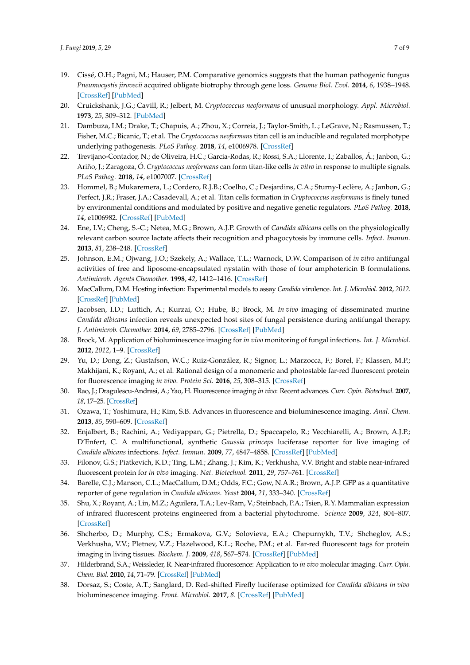- <span id="page-6-0"></span>19. Cissé, O.H.; Pagni, M.; Hauser, P.M. Comparative genomics suggests that the human pathogenic fungus *Pneumocystis jirovecii* acquired obligate biotrophy through gene loss. *Genome Biol. Evol.* **2014**, *6*, 1938–1948. [\[CrossRef\]](http://dx.doi.org/10.1093/gbe/evu155) [\[PubMed\]](http://www.ncbi.nlm.nih.gov/pubmed/25062922)
- <span id="page-6-1"></span>20. Cruickshank, J.G.; Cavill, R.; Jelbert, M. *Cryptococcus neoformans* of unusual morphology. *Appl. Microbiol.* **1973**, *25*, 309–312. [\[PubMed\]](http://www.ncbi.nlm.nih.gov/pubmed/4121033)
- <span id="page-6-2"></span>21. Dambuza, I.M.; Drake, T.; Chapuis, A.; Zhou, X.; Correia, J.; Taylor-Smith, L.; LeGrave, N.; Rasmussen, T.; Fisher, M.C.; Bicanic, T.; et al. The *Cryptococcus neoformans* titan cell is an inducible and regulated morphotype underlying pathogenesis. *PLoS Pathog.* **2018**, *14*, e1006978. [\[CrossRef\]](http://dx.doi.org/10.1371/journal.ppat.1006978)
- 22. Trevijano-Contador, N.; de Oliveira, H.C.; García-Rodas, R.; Rossi, S.A.; Llorente, I.; Zaballos, Á.; Janbon, G.; Ariño, J.; Zaragoza, Ó. *Cryptococcus neoformans* can form titan-like cells *in vitro* in response to multiple signals. *PLoS Pathog.* **2018**, *14*, e1007007. [\[CrossRef\]](http://dx.doi.org/10.1371/journal.ppat.1007007)
- <span id="page-6-3"></span>23. Hommel, B.; Mukaremera, L.; Cordero, R.J.B.; Coelho, C.; Desjardins, C.A.; Sturny-Leclère, A.; Janbon, G.; Perfect, J.R.; Fraser, J.A.; Casadevall, A.; et al. Titan cells formation in *Cryptococcus neoformans* is finely tuned by environmental conditions and modulated by positive and negative genetic regulators. *PLoS Pathog.* **2018**, *14*, e1006982. [\[CrossRef\]](http://dx.doi.org/10.1371/journal.ppat.1006982) [\[PubMed\]](http://www.ncbi.nlm.nih.gov/pubmed/29775480)
- <span id="page-6-4"></span>24. Ene, I.V.; Cheng, S.-C.; Netea, M.G.; Brown, A.J.P. Growth of *Candida albicans* cells on the physiologically relevant carbon source lactate affects their recognition and phagocytosis by immune cells. *Infect. Immun.* **2013**, *81*, 238–248. [\[CrossRef\]](http://dx.doi.org/10.1128/IAI.01092-12)
- <span id="page-6-5"></span>25. Johnson, E.M.; Ojwang, J.O.; Szekely, A.; Wallace, T.L.; Warnock, D.W. Comparison of *in vitro* antifungal activities of free and liposome-encapsulated nystatin with those of four amphotericin B formulations. *Antimicrob. Agents Chemother.* **1998**, *42*, 1412–1416. [\[CrossRef\]](http://dx.doi.org/10.1128/AAC.42.6.1412)
- <span id="page-6-6"></span>26. MacCallum, D.M. Hosting infection: Experimental models to assay *Candida* virulence. *Int. J. Microbiol.* **2012**, *2012*. [\[CrossRef\]](http://dx.doi.org/10.1155/2012/363764) [\[PubMed\]](http://www.ncbi.nlm.nih.gov/pubmed/22235206)
- <span id="page-6-7"></span>27. Jacobsen, I.D.; Luttich, A.; Kurzai, O.; Hube, B.; Brock, M. *In vivo* imaging of disseminated murine *Candida albicans* infection reveals unexpected host sites of fungal persistence during antifungal therapy. *J. Antimicrob. Chemother.* **2014**, *69*, 2785–2796. [\[CrossRef\]](http://dx.doi.org/10.1093/jac/dku198) [\[PubMed\]](http://www.ncbi.nlm.nih.gov/pubmed/24951534)
- <span id="page-6-8"></span>28. Brock, M. Application of bioluminescence imaging for *in vivo* monitoring of fungal infections. *Int. J. Microbiol.* **2012**, *2012*, 1–9. [\[CrossRef\]](http://dx.doi.org/10.1155/2012/956794)
- <span id="page-6-9"></span>29. Yu, D.; Dong, Z.; Gustafson, W.C.; Ruiz-González, R.; Signor, L.; Marzocca, F.; Borel, F.; Klassen, M.P.; Makhijani, K.; Royant, A.; et al. Rational design of a monomeric and photostable far-red fluorescent protein for fluorescence imaging *in vivo*. *Protein Sci.* **2016**, *25*, 308–315. [\[CrossRef\]](http://dx.doi.org/10.1002/pro.2843)
- <span id="page-6-10"></span>30. Rao, J.; Dragulescu-Andrasi, A.; Yao, H. Fluorescence imaging *in vivo*: Recent advances. *Curr. Opin. Biotechnol.* **2007**, *18*, 17–25. [\[CrossRef\]](http://dx.doi.org/10.1016/j.copbio.2007.01.003)
- <span id="page-6-11"></span>31. Ozawa, T.; Yoshimura, H.; Kim, S.B. Advances in fluorescence and bioluminescence imaging. *Anal. Chem.* **2013**, *85*, 590–609. [\[CrossRef\]](http://dx.doi.org/10.1021/ac3031724)
- <span id="page-6-12"></span>32. Enjalbert, B.; Rachini, A.; Vediyappan, G.; Pietrella, D.; Spaccapelo, R.; Vecchiarelli, A.; Brown, A.J.P.; D'Enfert, C. A multifunctional, synthetic *Gaussia princeps* luciferase reporter for live imaging of *Candida albicans* infections. *Infect. Immun.* **2009**, *77*, 4847–4858. [\[CrossRef\]](http://dx.doi.org/10.1128/IAI.00223-09) [\[PubMed\]](http://www.ncbi.nlm.nih.gov/pubmed/19687206)
- <span id="page-6-14"></span>33. Filonov, G.S.; Piatkevich, K.D.; Ting, L.M.; Zhang, J.; Kim, K.; Verkhusha, V.V. Bright and stable near-infrared fluorescent protein for *in vivo* imaging. *Nat. Biotechnol.* **2011**, *29*, 757–761. [\[CrossRef\]](http://dx.doi.org/10.1038/nbt.1918)
- <span id="page-6-13"></span>34. Barelle, C.J.; Manson, C.L.; MacCallum, D.M.; Odds, F.C.; Gow, N.A.R.; Brown, A.J.P. GFP as a quantitative reporter of gene regulation in *Candida albicans*. *Yeast* **2004**, *21*, 333–340. [\[CrossRef\]](http://dx.doi.org/10.1002/yea.1099)
- <span id="page-6-15"></span>35. Shu, X.; Royant, A.; Lin, M.Z.; Aguilera, T.A.; Lev-Ram, V.; Steinbach, P.A.; Tsien, R.Y. Mammalian expression of infrared fluorescent proteins engineered from a bacterial phytochrome. *Science* **2009**, *324*, 804–807. [\[CrossRef\]](http://dx.doi.org/10.1126/science.1168683)
- <span id="page-6-16"></span>36. Shcherbo, D.; Murphy, C.S.; Ermakova, G.V.; Solovieva, E.A.; Chepurnykh, T.V.; Shcheglov, A.S.; Verkhusha, V.V.; Pletnev, V.Z.; Hazelwood, K.L.; Roche, P.M.; et al. Far-red fluorescent tags for protein imaging in living tissues. *Biochem. J.* **2009**, *418*, 567–574. [\[CrossRef\]](http://dx.doi.org/10.1042/BJ20081949) [\[PubMed\]](http://www.ncbi.nlm.nih.gov/pubmed/19143658)
- <span id="page-6-17"></span>37. Hilderbrand, S.A.; Weissleder, R. Near-infrared fluorescence: Application to *in vivo* molecular imaging. *Curr. Opin. Chem. Biol.* **2010**, *14*, 71–79. [\[CrossRef\]](http://dx.doi.org/10.1016/j.cbpa.2009.09.029) [\[PubMed\]](http://www.ncbi.nlm.nih.gov/pubmed/19879798)
- <span id="page-6-18"></span>38. Dorsaz, S.; Coste, A.T.; Sanglard, D. Red-shifted Firefly luciferase optimized for *Candida albicans in vivo* bioluminescence imaging. *Front. Microbiol.* **2017**, *8*. [\[CrossRef\]](http://dx.doi.org/10.3389/fmicb.2017.01478) [\[PubMed\]](http://www.ncbi.nlm.nih.gov/pubmed/28824601)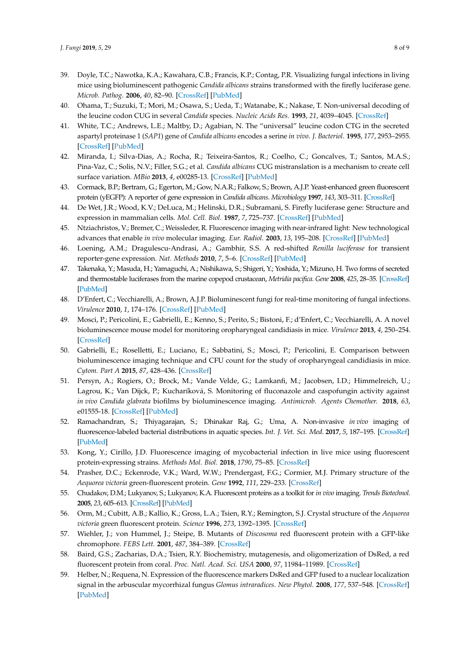- <span id="page-7-0"></span>39. Doyle, T.C.; Nawotka, K.A.; Kawahara, C.B.; Francis, K.P.; Contag, P.R. Visualizing fungal infections in living mice using bioluminescent pathogenic *Candida albicans* strains transformed with the firefly luciferase gene. *Microb. Pathog.* **2006**, *40*, 82–90. [\[CrossRef\]](http://dx.doi.org/10.1016/j.micpath.2005.11.003) [\[PubMed\]](http://www.ncbi.nlm.nih.gov/pubmed/16426810)
- <span id="page-7-1"></span>40. Ohama, T.; Suzuki, T.; Mori, M.; Osawa, S.; Ueda, T.; Watanabe, K.; Nakase, T. Non-universal decoding of the leucine codon CUG in several *Candida* species. *Nucleic Acids Res.* **1993**, *21*, 4039–4045. [\[CrossRef\]](http://dx.doi.org/10.1093/nar/21.17.4039)
- 41. White, T.C.; Andrews, L.E.; Maltby, D.; Agabian, N. The "universal" leucine codon CTG in the secreted aspartyl proteinase 1 (*SAP1*) gene of *Candida albicans* encodes a serine *in vivo*. *J. Bacteriol.* **1995**, *177*, 2953–2955. [\[CrossRef\]](http://dx.doi.org/10.1128/jb.177.10.2953-2955.1995) [\[PubMed\]](http://www.ncbi.nlm.nih.gov/pubmed/7751316)
- <span id="page-7-2"></span>42. Miranda, I.; Silva-Dias, A.; Rocha, R.; Teixeira-Santos, R.; Coelho, C.; Goncalves, T.; Santos, M.A.S.; Pina-Vaz, C.; Solis, N.V.; Filler, S.G.; et al. *Candida albicans* CUG mistranslation is a mechanism to create cell surface variation. *MBio* **2013**, *4*, e00285-13. [\[CrossRef\]](http://dx.doi.org/10.1128/mBio.00285-13) [\[PubMed\]](http://www.ncbi.nlm.nih.gov/pubmed/23800396)
- <span id="page-7-3"></span>43. Cormack, B.P.; Bertram, G.; Egerton, M.; Gow, N.A.R.; Falkow, S.; Brown, A.J.P. Yeast-enhanced green fluorescent protein (yEGFP): A reporter of gene expression in *Candida albicans*. *Microbiology* **1997**, *143*, 303–311. [\[CrossRef\]](http://dx.doi.org/10.1099/00221287-143-2-303)
- <span id="page-7-4"></span>44. De Wet, J.R.; Wood, K.V.; DeLuca, M.; Helinski, D.R.; Subramani, S. Firefly luciferase gene: Structure and expression in mammalian cells. *Mol. Cell. Biol.* **1987**, *7*, 725–737. [\[CrossRef\]](http://dx.doi.org/10.1128/MCB.7.2.725) [\[PubMed\]](http://www.ncbi.nlm.nih.gov/pubmed/3821727)
- <span id="page-7-5"></span>45. Ntziachristos, V.; Bremer, C.; Weissleder, R. Fluorescence imaging with near-infrared light: New technological advances that enable *in vivo* molecular imaging. *Eur. Radiol.* **2003**, *13*, 195–208. [\[CrossRef\]](http://dx.doi.org/10.1007/s00330-002-1524-x) [\[PubMed\]](http://www.ncbi.nlm.nih.gov/pubmed/12541130)
- <span id="page-7-6"></span>46. Loening, A.M.; Dragulescu-Andrasi, A.; Gambhir, S.S. A red-shifted *Renilla luciferase* for transient reporter-gene expression. *Nat. Methods* **2010**, *7*, 5–6. [\[CrossRef\]](http://dx.doi.org/10.1038/nmeth0110-05) [\[PubMed\]](http://www.ncbi.nlm.nih.gov/pubmed/20038949)
- <span id="page-7-7"></span>47. Takenaka, Y.; Masuda, H.; Yamaguchi, A.; Nishikawa, S.; Shigeri, Y.; Yoshida, Y.; Mizuno, H. Two forms of secreted and thermostable luciferases from the marine copepod crustacean, *Metridia pacifica*. *Gene* **2008**, *425*, 28–35. [\[CrossRef\]](http://dx.doi.org/10.1016/j.gene.2008.07.041) [\[PubMed\]](http://www.ncbi.nlm.nih.gov/pubmed/18725274)
- <span id="page-7-8"></span>48. D'Enfert, C.; Vecchiarelli, A.; Brown, A.J.P. Bioluminescent fungi for real-time monitoring of fungal infections. *Virulence* **2010**, *1*, 174–176. [\[CrossRef\]](http://dx.doi.org/10.4161/viru.1.3.11119) [\[PubMed\]](http://www.ncbi.nlm.nih.gov/pubmed/21178436)
- <span id="page-7-9"></span>49. Mosci, P.; Pericolini, E.; Gabrielli, E.; Kenno, S.; Perito, S.; Bistoni, F.; d'Enfert, C.; Vecchiarelli, A. A novel bioluminescence mouse model for monitoring oropharyngeal candidiasis in mice. *Virulence* **2013**, *4*, 250–254. [\[CrossRef\]](http://dx.doi.org/10.4161/viru.23529)
- <span id="page-7-10"></span>50. Gabrielli, E.; Roselletti, E.; Luciano, E.; Sabbatini, S.; Mosci, P.; Pericolini, E. Comparison between bioluminescence imaging technique and CFU count for the study of oropharyngeal candidiasis in mice. *Cytom. Part A* **2015**, *87*, 428–436. [\[CrossRef\]](http://dx.doi.org/10.1002/cyto.a.22666)
- <span id="page-7-11"></span>51. Persyn, A.; Rogiers, O.; Brock, M.; Vande Velde, G.; Lamkanfi, M.; Jacobsen, I.D.; Himmelreich, U.; Lagrou, K.; Van Dijck, P.; Kucharíková, S. Monitoring of fluconazole and caspofungin activity against *in vivo Candida glabrata* biofilms by bioluminescence imaging. *Antimicrob. Agents Chemother.* **2018**, *63*, e01555-18. [\[CrossRef\]](http://dx.doi.org/10.1128/AAC.01555-18) [\[PubMed\]](http://www.ncbi.nlm.nih.gov/pubmed/30420485)
- <span id="page-7-12"></span>52. Ramachandran, S.; Thiyagarajan, S.; Dhinakar Raj, G.; Uma, A. Non-invasive *in vivo* imaging of fluorescence-labeled bacterial distributions in aquatic species. *Int. J. Vet. Sci. Med.* **2017**, *5*, 187–195. [\[CrossRef\]](http://dx.doi.org/10.1016/j.ijvsm.2017.09.003) [\[PubMed\]](http://www.ncbi.nlm.nih.gov/pubmed/30255070)
- <span id="page-7-13"></span>53. Kong, Y.; Cirillo, J.D. Fluorescence imaging of mycobacterial infection in live mice using fluorescent protein-expressing strains. *Methods Mol. Biol.* **2018**, *1790*, 75–85. [\[CrossRef\]](http://dx.doi.org/10.1007/978-1-4939-7860-1_6)
- <span id="page-7-14"></span>54. Prasher, D.C.; Eckenrode, V.K.; Ward, W.W.; Prendergast, F.G.; Cormier, M.J. Primary structure of the *Aequorea victoria* green-fluorescent protein. *Gene* **1992**, *111*, 229–233. [\[CrossRef\]](http://dx.doi.org/10.1016/0378-1119(92)90691-H)
- <span id="page-7-15"></span>55. Chudakov, D.M.; Lukyanov, S.; Lukyanov, K.A. Fluorescent proteins as a toolkit for *in vivo* imaging. *Trends Biotechnol.* **2005**, *23*, 605–613. [\[CrossRef\]](http://dx.doi.org/10.1016/j.tibtech.2005.10.005) [\[PubMed\]](http://www.ncbi.nlm.nih.gov/pubmed/16269193)
- <span id="page-7-16"></span>56. Orm, M.; Cubitt, A.B.; Kallio, K.; Gross, L.A.; Tsien, R.Y.; Remington, S.J. Crystal structure of the *Aequorea victoria* green fluorescent protein. *Science* **1996**, *273*, 1392–1395. [\[CrossRef\]](http://dx.doi.org/10.1126/science.273.5280.1392)
- <span id="page-7-17"></span>57. Wiehler, J.; von Hummel, J.; Steipe, B. Mutants of *Discosoma* red fluorescent protein with a GFP-like chromophore. *FEBS Lett.* **2001**, *487*, 384–389. [\[CrossRef\]](http://dx.doi.org/10.1016/S0014-5793(00)02365-6)
- <span id="page-7-18"></span>58. Baird, G.S.; Zacharias, D.A.; Tsien, R.Y. Biochemistry, mutagenesis, and oligomerization of DsRed, a red fluorescent protein from coral. *Proc. Natl. Acad. Sci. USA* **2000**, *97*, 11984–11989. [\[CrossRef\]](http://dx.doi.org/10.1073/pnas.97.22.11984)
- <span id="page-7-19"></span>59. Helber, N.; Requena, N. Expression of the fluorescence markers DsRed and GFP fused to a nuclear localization signal in the arbuscular mycorrhizal fungus *Glomus intraradices*. *New Phytol.* **2008**, *177*, 537–548. [\[CrossRef\]](http://dx.doi.org/10.1111/j.1469-8137.2007.02257.x) [\[PubMed\]](http://www.ncbi.nlm.nih.gov/pubmed/17995919)